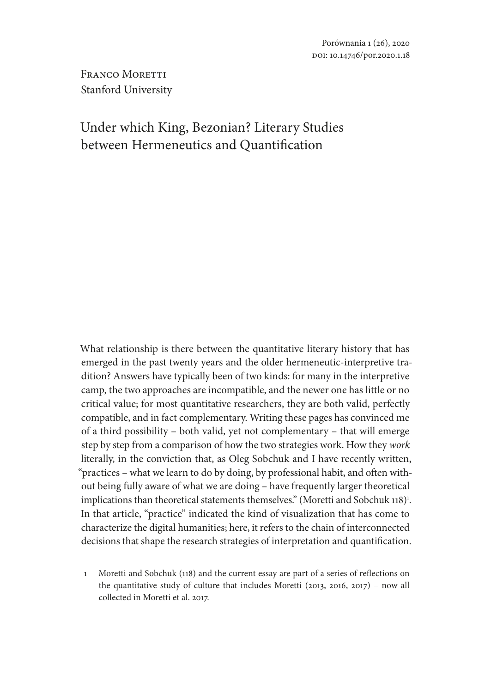FRANCO MORETTI Stanford University

# Under which King, Bezonian? Literary Studies between Hermeneutics and Quantification

What relationship is there between the quantitative literary history that has emerged in the past twenty years and the older hermeneutic-interpretive tradition? Answers have typically been of two kinds: for many in the interpretive camp, the two approaches are incompatible, and the newer one has little or no critical value; for most quantitative researchers, they are both valid, perfectly compatible, and in fact complementary. Writing these pages has convinced me of a third possibility – both valid, yet not complementary – that will emerge step by step from a comparison of how the two strategies work. How they *work* literally, in the conviction that, as Oleg Sobchuk and I have recently written, "practices – what we learn to do by doing, by professional habit, and often without being fully aware of what we are doing – have frequently larger theoretical implications than theoretical statements themselves." (Moretti and Sobchuk 118) $^{\text{1}}$ . In that article, "practice" indicated the kind of visualization that has come to characterize the digital humanities; here, it refers to the chain of interconnected decisions that shape the research strategies of interpretation and quantification.

1 Moretti and Sobchuk (118) and the current essay are part of a series of reflections on the quantitative study of culture that includes Moretti (2013, 2016, 2017) – now all collected in Moretti et al. 2017.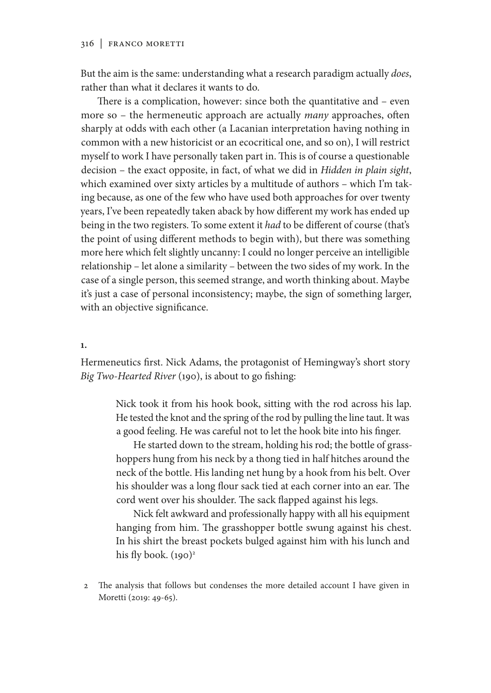But the aim is the same: understanding what a research paradigm actually *does*, rather than what it declares it wants to do.

There is a complication, however: since both the quantitative and – even more so – the hermeneutic approach are actually *many* approaches, often sharply at odds with each other (a Lacanian interpretation having nothing in common with a new historicist or an ecocritical one, and so on), I will restrict myself to work I have personally taken part in. This is of course a questionable decision – the exact opposite, in fact, of what we did in *Hidden in plain sight*, which examined over sixty articles by a multitude of authors – which I'm taking because, as one of the few who have used both approaches for over twenty years, I've been repeatedly taken aback by how different my work has ended up being in the two registers. To some extent it *had* to be different of course (that's the point of using different methods to begin with), but there was something more here which felt slightly uncanny: I could no longer perceive an intelligible relationship – let alone a similarity – between the two sides of my work. In the case of a single person, this seemed strange, and worth thinking about. Maybe it's just a case of personal inconsistency; maybe, the sign of something larger, with an objective significance.

**1.**

Hermeneutics first. Nick Adams, the protagonist of Hemingway's short story *Big Two-Hearted River* (190), is about to go fishing:

> Nick took it from his hook book, sitting with the rod across his lap. He tested the knot and the spring of the rod by pulling the line taut. It was a good feeling. He was careful not to let the hook bite into his finger.

> He started down to the stream, holding his rod; the bottle of grasshoppers hung from his neck by a thong tied in half hitches around the neck of the bottle. His landing net hung by a hook from his belt. Over his shoulder was a long flour sack tied at each corner into an ear. The cord went over his shoulder. The sack flapped against his legs.

> Nick felt awkward and professionally happy with all his equipment hanging from him. The grasshopper bottle swung against his chest. In his shirt the breast pockets bulged against him with his lunch and his fly book.  $(190)^2$

2 The analysis that follows but condenses the more detailed account I have given in Moretti (2019: 49-65).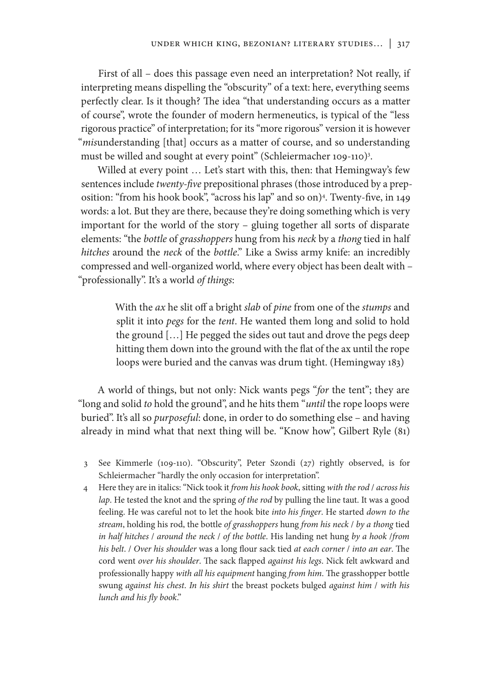First of all – does this passage even need an interpretation? Not really, if interpreting means dispelling the "obscurity" of a text: here, everything seems perfectly clear. Is it though? The idea "that understanding occurs as a matter of course", wrote the founder of modern hermeneutics, is typical of the "less rigorous practice" of interpretation; for its "more rigorous" version it is however "*mis*understanding [that] occurs as a matter of course, and so understanding must be willed and sought at every point" (Schleiermacher 109-110)3 .

Willed at every point ... Let's start with this, then: that Hemingway's few sentences include *twenty-five* prepositional phrases (those introduced by a preposition: "from his hook book", "across his lap" and so on)4 . Twenty-five, in 149 words: a lot. But they are there, because they're doing something which is very important for the world of the story – gluing together all sorts of disparate elements: "the *bottle* of *grasshoppers* hung from his *neck* by a *thong* tied in half *hitches* around the *neck* of the *bottle*." Like a Swiss army knife: an incredibly compressed and well-organized world, where every object has been dealt with – "professionally". It's a world *of things*:

> With the *ax* he slit off a bright *slab* of *pine* from one of the *stumps* and split it into *pegs* for the *tent*. He wanted them long and solid to hold the ground […] He pegged the sides out taut and drove the pegs deep hitting them down into the ground with the flat of the ax until the rope loops were buried and the canvas was drum tight. (Hemingway 183)

A world of things, but not only: Nick wants pegs "*for* the tent"; they are "long and solid *to* hold the ground", and he hits them "*until* the rope loops were buried". It's all so *purposeful*: done, in order to do something else – and having already in mind what that next thing will be. "Know how", Gilbert Ryle (81)

- 3 See Kimmerle (109-110). "Obscurity", Peter Szondi (27) rightly observed, is for Schleiermacher "hardly the only occasion for interpretation".
- 4 Here they are in italics: "Nick took it *from his hook book*, sitting *with the rod* / *across his lap*. He tested the knot and the spring *of the rod* by pulling the line taut. It was a good feeling. He was careful not to let the hook bite *into his finger*. He started *down to the stream*, holding his rod, the bottle *of grasshoppers* hung *from his neck* / *by a thong* tied *in half hitches* / *around the neck* / *of the bottle*. His landing net hung *by a hook* /*from his belt*. / *Over his shoulder* was a long flour sack tied *at each corner* / *into an ear*. The cord went *over his shoulder*. The sack flapped *against his legs*. Nick felt awkward and professionally happy *with all his equipment* hanging *from him*. The grasshopper bottle swung *against his chest*. *In his shirt* the breast pockets bulged *against him* / *with his lunch and his fly book*."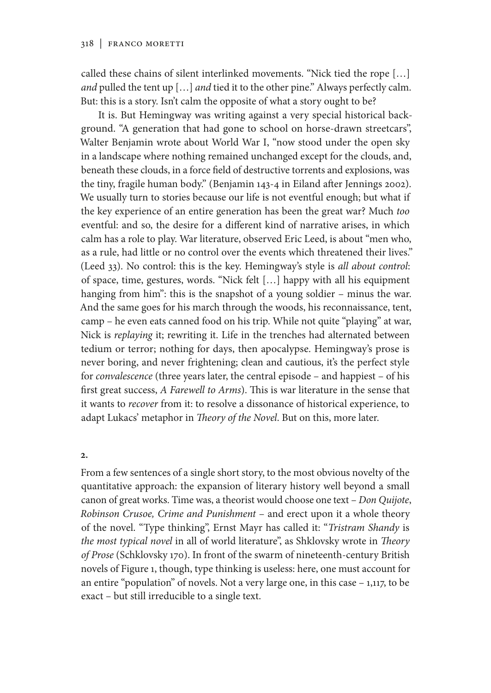called these chains of silent interlinked movements. "Nick tied the rope […] *and* pulled the tent up […] *and* tied it to the other pine." Always perfectly calm. But: this is a story. Isn't calm the opposite of what a story ought to be?

It is. But Hemingway was writing against a very special historical background. "A generation that had gone to school on horse-drawn streetcars", Walter Benjamin wrote about World War I, "now stood under the open sky in a landscape where nothing remained unchanged except for the clouds, and, beneath these clouds, in a force field of destructive torrents and explosions, was the tiny, fragile human body." (Benjamin 143-4 in Eiland after Jennings 2002). We usually turn to stories because our life is not eventful enough; but what if the key experience of an entire generation has been the great war? Much *too*  eventful: and so, the desire for a different kind of narrative arises, in which calm has a role to play. War literature, observed Eric Leed, is about "men who, as a rule, had little or no control over the events which threatened their lives." (Leed 33). No control: this is the key. Hemingway's style is *all about control*: of space, time, gestures, words. "Nick felt […] happy with all his equipment hanging from him": this is the snapshot of a young soldier – minus the war. And the same goes for his march through the woods, his reconnaissance, tent, camp – he even eats canned food on his trip. While not quite "playing" at war, Nick is *replaying* it; rewriting it. Life in the trenches had alternated between tedium or terror; nothing for days, then apocalypse. Hemingway's prose is never boring, and never frightening; clean and cautious, it's the perfect style for *convalescence* (three years later, the central episode – and happiest – of his first great success, *A Farewell to Arms*). This is war literature in the sense that it wants to *recover* from it: to resolve a dissonance of historical experience, to adapt Lukacs' metaphor in *Theory of the Novel*. But on this, more later.

#### **2.**

From a few sentences of a single short story, to the most obvious novelty of the quantitative approach: the expansion of literary history well beyond a small canon of great works. Time was, a theorist would choose one text – *Don Quijote*, *Robinson Crusoe, Crime and Punishment* – and erect upon it a whole theory of the novel. "Type thinking", Ernst Mayr has called it: "*Tristram Shandy* is *the most typical novel* in all of world literature", as Shklovsky wrote in *Theory of Prose* (Schklovsky 170). In front of the swarm of nineteenth-century British novels of Figure 1, though, type thinking is useless: here, one must account for an entire "population" of novels. Not a very large one, in this case – 1,117, to be exact – but still irreducible to a single text.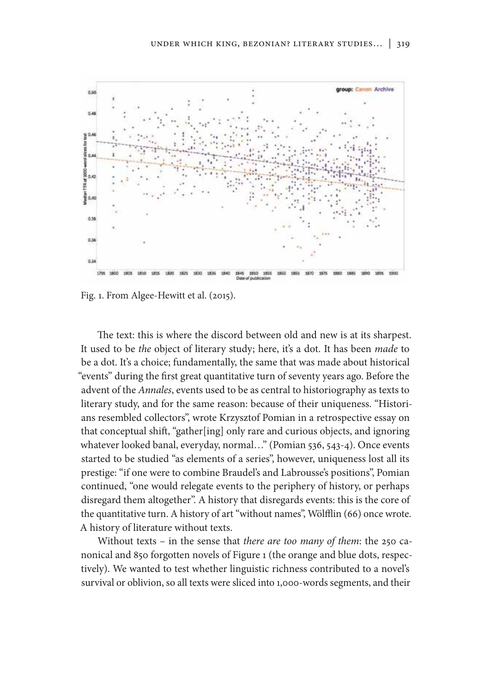

Fig. 1. From Algee-Hewitt et al. (2015).

The text: this is where the discord between old and new is at its sharpest. It used to be *the* object of literary study; here, it's a dot. It has been *made* to be a dot. It's a choice; fundamentally, the same that was made about historical "events" during the first great quantitative turn of seventy years ago. Before the advent of the *Annales*, events used to be as central to historiography as texts to literary study, and for the same reason: because of their uniqueness. "Historians resembled collectors", wrote Krzysztof Pomian in a retrospective essay on that conceptual shift, "gather[ing] only rare and curious objects, and ignoring whatever looked banal, everyday, normal…" (Pomian 536, 543-4). Once events started to be studied "as elements of a series", however, uniqueness lost all its prestige: "if one were to combine Braudel's and Labrousse's positions", Pomian continued, "one would relegate events to the periphery of history, or perhaps disregard them altogether". A history that disregards events: this is the core of the quantitative turn. A history of art "without names", Wölfflin (66) once wrote. A history of literature without texts.

Without texts – in the sense that *there are too many of them*: the 250 canonical and 850 forgotten novels of Figure 1 (the orange and blue dots, respectively). We wanted to test whether linguistic richness contributed to a novel's survival or oblivion, so all texts were sliced into 1,000-words segments, and their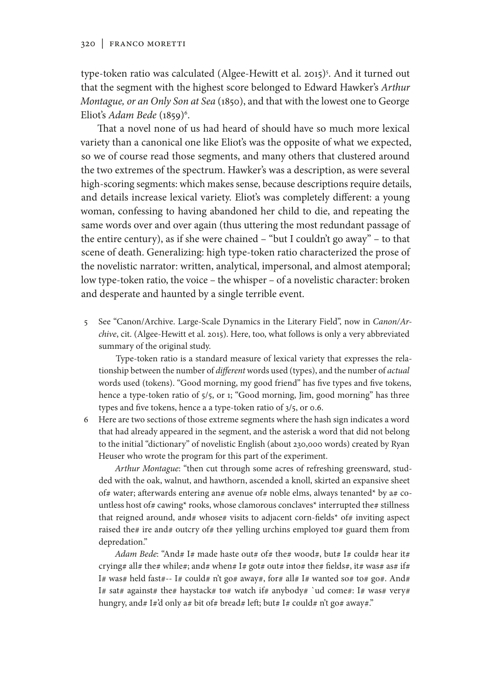type-token ratio was calculated (Algee-Hewitt et al. 2015)<sup>5</sup>. And it turned out that the segment with the highest score belonged to Edward Hawker's *Arthur Montague, or an Only Son at Sea* (1850), and that with the lowest one to George Eliot's *Adam Bede* (1859)<sup>6</sup>.

That a novel none of us had heard of should have so much more lexical variety than a canonical one like Eliot's was the opposite of what we expected, so we of course read those segments, and many others that clustered around the two extremes of the spectrum. Hawker's was a description, as were several high-scoring segments: which makes sense, because descriptions require details, and details increase lexical variety. Eliot's was completely different: a young woman, confessing to having abandoned her child to die, and repeating the same words over and over again (thus uttering the most redundant passage of the entire century), as if she were chained – "but I couldn't go away" – to that scene of death. Generalizing: high type-token ratio characterized the prose of the novelistic narrator: written, analytical, impersonal, and almost atemporal; low type-token ratio, the voice – the whisper – of a novelistic character: broken and desperate and haunted by a single terrible event.

5 See "Canon/Archive. Large-Scale Dynamics in the Literary Field", now in *Canon/Archive*, cit. (Algee-Hewitt et al. 2015). Here, too, what follows is only a very abbreviated summary of the original study.

Type-token ratio is a standard measure of lexical variety that expresses the relationship between the number of *different* words used (types), and the number of *actual* words used (tokens). "Good morning, my good friend" has five types and five tokens, hence a type-token ratio of 5/5, or 1; "Good morning, Jim, good morning" has three types and five tokens, hence a a type-token ratio of 3/5, or 0.6.

6 Here are two sections of those extreme segments where the hash sign indicates a word that had already appeared in the segment, and the asterisk a word that did not belong to the initial "dictionary" of novelistic English (about 230,000 words) created by Ryan Heuser who wrote the program for this part of the experiment.

*Arthur Montague*: "then cut through some acres of refreshing greensward, studded with the oak, walnut, and hawthorn, ascended a knoll, skirted an expansive sheet of# water; afterwards entering an# avenue of# noble elms, always tenanted\* by a# countless host of# cawing\* rooks, whose clamorous conclaves\* interrupted the# stillness that reigned around, and# whose# visits to adjacent corn-fields\* of# inviting aspect raised the# ire and# outcry of# the# yelling urchins employed to# guard them from depredation."

*Adam Bede*: "And# I# made haste out# of# the# wood#, but# I# could# hear it# crying# all# the# while#; and# when# I# got# out# into# the# fields#, it# was# as# if# I# was# held fast#-- I# could# n't go# away#, for# all# I# wanted so# to# go#. And# I# sat# against# the# haystack# to# watch if# anybody# 'ud come#: I# was# very# hungry, and# I#'d only a# bit of# bread# left; but# I# could# n't go# away#."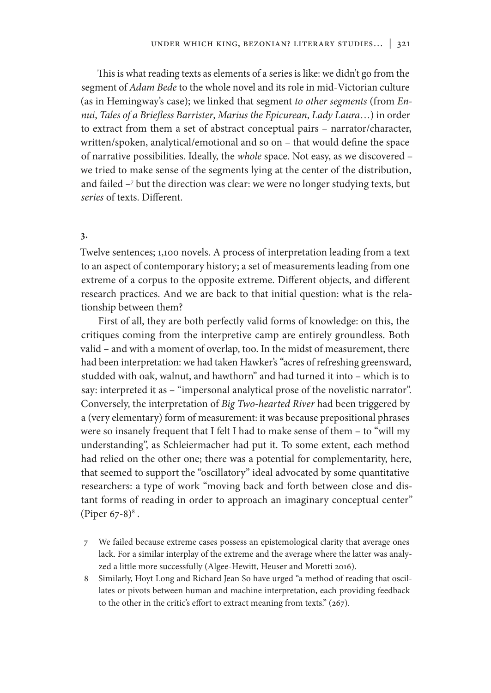This is what reading texts as elements of a series is like: we didn't go from the segment of *Adam Bede* to the whole novel and its role in mid-Victorian culture (as in Hemingway's case); we linked that segment *to other segments* (from *Ennui*, *Tales of a Briefless Barrister*, *Marius the Epicurean*, *Lady Laura*…) in order to extract from them a set of abstract conceptual pairs – narrator/character, written/spoken, analytical/emotional and so on – that would define the space of narrative possibilities. Ideally, the *whole* space. Not easy, as we discovered – we tried to make sense of the segments lying at the center of the distribution, and failed –7 but the direction was clear: we were no longer studying texts, but *series* of texts. Different.

## **3.**

Twelve sentences; 1,100 novels. A process of interpretation leading from a text to an aspect of contemporary history; a set of measurements leading from one extreme of a corpus to the opposite extreme. Different objects, and different research practices. And we are back to that initial question: what is the relationship between them?

First of all, they are both perfectly valid forms of knowledge: on this, the critiques coming from the interpretive camp are entirely groundless. Both valid – and with a moment of overlap, too. In the midst of measurement, there had been interpretation: we had taken Hawker's "acres of refreshing greensward, studded with oak, walnut, and hawthorn" and had turned it into – which is to say: interpreted it as – "impersonal analytical prose of the novelistic narrator". Conversely, the interpretation of *Big Two-hearted River* had been triggered by a (very elementary) form of measurement: it was because prepositional phrases were so insanely frequent that I felt I had to make sense of them – to "will my understanding", as Schleiermacher had put it. To some extent, each method had relied on the other one; there was a potential for complementarity, here, that seemed to support the "oscillatory" ideal advocated by some quantitative researchers: a type of work "moving back and forth between close and distant forms of reading in order to approach an imaginary conceptual center" (Piper 67-8) $^{8}$ .

- 7 We failed because extreme cases possess an epistemological clarity that average ones lack. For a similar interplay of the extreme and the average where the latter was analyzed a little more successfully (Algee-Hewitt, Heuser and Moretti 2016).
- 8 Similarly, Hoyt Long and Richard Jean So have urged "a method of reading that oscillates or pivots between human and machine interpretation, each providing feedback to the other in the critic's effort to extract meaning from texts." (267).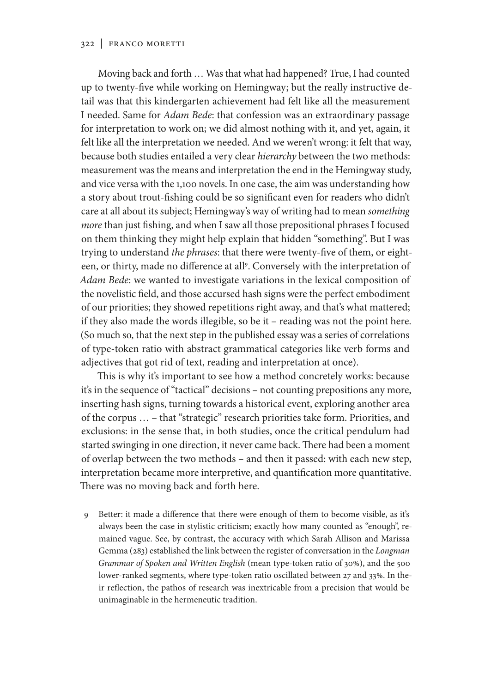#### 322 | Franco Moretti

Moving back and forth … Was that what had happened? True, I had counted up to twenty-five while working on Hemingway; but the really instructive detail was that this kindergarten achievement had felt like all the measurement I needed. Same for *Adam Bede*: that confession was an extraordinary passage for interpretation to work on; we did almost nothing with it, and yet, again, it felt like all the interpretation we needed. And we weren't wrong: it felt that way, because both studies entailed a very clear *hierarchy* between the two methods: measurement was the means and interpretation the end in the Hemingway study, and vice versa with the 1,100 novels. In one case, the aim was understanding how a story about trout-fishing could be so significant even for readers who didn't care at all about its subject; Hemingway's way of writing had to mean *something more* than just fishing, and when I saw all those prepositional phrases I focused on them thinking they might help explain that hidden "something". But I was trying to understand *the phrases*: that there were twenty-five of them, or eighteen, or thirty, made no difference at all<sup>9</sup>. Conversely with the interpretation of *Adam Bede*: we wanted to investigate variations in the lexical composition of the novelistic field, and those accursed hash signs were the perfect embodiment of our priorities; they showed repetitions right away, and that's what mattered; if they also made the words illegible, so be it – reading was not the point here. (So much so, that the next step in the published essay was a series of correlations of type-token ratio with abstract grammatical categories like verb forms and adjectives that got rid of text, reading and interpretation at once).

This is why it's important to see how a method concretely works: because it's in the sequence of "tactical" decisions – not counting prepositions any more, inserting hash signs, turning towards a historical event, exploring another area of the corpus … – that "strategic" research priorities take form. Priorities, and exclusions: in the sense that, in both studies, once the critical pendulum had started swinging in one direction, it never came back. There had been a moment of overlap between the two methods – and then it passed: with each new step, interpretation became more interpretive, and quantification more quantitative. There was no moving back and forth here.

Better: it made a difference that there were enough of them to become visible, as it's always been the case in stylistic criticism; exactly how many counted as "enough", remained vague. See, by contrast, the accuracy with which Sarah Allison and Marissa Gemma (283) established the link between the register of conversation in the *Longman Grammar of Spoken and Written English* (mean type-token ratio of 30%), and the 500 lower-ranked segments, where type-token ratio oscillated between 27 and 33%. In their reflection, the pathos of research was inextricable from a precision that would be unimaginable in the hermeneutic tradition.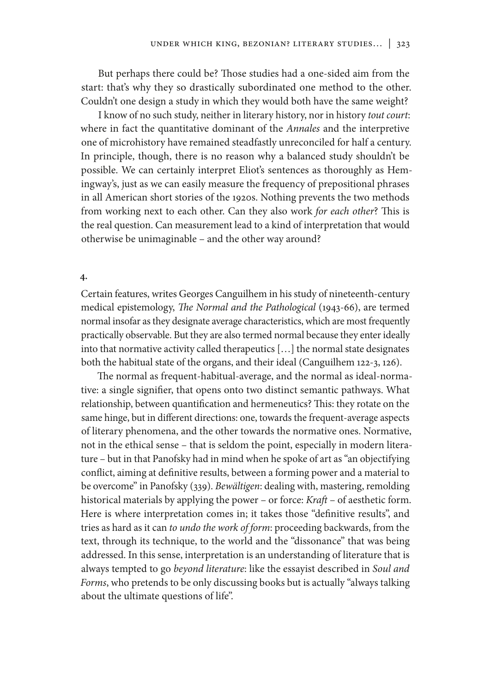But perhaps there could be? Those studies had a one-sided aim from the start: that's why they so drastically subordinated one method to the other. Couldn't one design a study in which they would both have the same weight?

I know of no such study, neither in literary history, nor in history *tout court*: where in fact the quantitative dominant of the *Annales* and the interpretive one of microhistory have remained steadfastly unreconciled for half a century. In principle, though, there is no reason why a balanced study shouldn't be possible. We can certainly interpret Eliot's sentences as thoroughly as Hemingway's, just as we can easily measure the frequency of prepositional phrases in all American short stories of the 1920s. Nothing prevents the two methods from working next to each other. Can they also work *for each other*? This is the real question. Can measurement lead to a kind of interpretation that would otherwise be unimaginable – and the other way around?

### **4.**

Certain features, writes Georges Canguilhem in his study of nineteenth-century medical epistemology, *The Normal and the Pathological* (1943-66), are termed normal insofar as they designate average characteristics, which are most frequently practically observable. But they are also termed normal because they enter ideally into that normative activity called therapeutics […] the normal state designates both the habitual state of the organs, and their ideal (Canguilhem 122-3, 126).

The normal as frequent-habitual-average, and the normal as ideal-normative: a single signifier, that opens onto two distinct semantic pathways. What relationship, between quantification and hermeneutics? This: they rotate on the same hinge, but in different directions: one, towards the frequent-average aspects of literary phenomena, and the other towards the normative ones. Normative, not in the ethical sense – that is seldom the point, especially in modern literature – but in that Panofsky had in mind when he spoke of art as "an objectifying conflict, aiming at definitive results, between a forming power and a material to be overcome" in Panofsky (339). *Bewältigen*: dealing with, mastering, remolding historical materials by applying the power – or force: *Kraft* – of aesthetic form. Here is where interpretation comes in; it takes those "definitive results", and tries as hard as it can *to undo the work of form*: proceeding backwards, from the text, through its technique, to the world and the "dissonance" that was being addressed. In this sense, interpretation is an understanding of literature that is always tempted to go *beyond literature*: like the essayist described in *Soul and Forms*, who pretends to be only discussing books but is actually "always talking about the ultimate questions of life".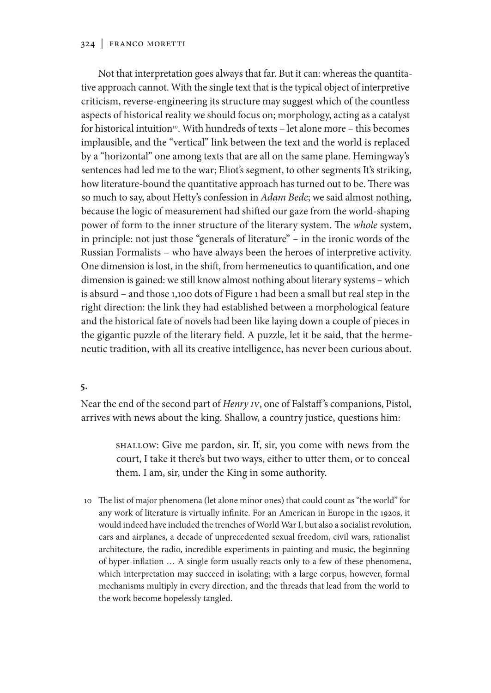### 324 | Franco Moretti

Not that interpretation goes always that far. But it can: whereas the quantitative approach cannot. With the single text that is the typical object of interpretive criticism, reverse-engineering its structure may suggest which of the countless aspects of historical reality we should focus on; morphology, acting as a catalyst for historical intuition<sup>10</sup>. With hundreds of texts - let alone more - this becomes implausible, and the "vertical" link between the text and the world is replaced by a "horizontal" one among texts that are all on the same plane. Hemingway's sentences had led me to the war; Eliot's segment, to other segments It's striking, how literature-bound the quantitative approach has turned out to be. There was so much to say, about Hetty's confession in *Adam Bede*; we said almost nothing, because the logic of measurement had shifted our gaze from the world-shaping power of form to the inner structure of the literary system. The *whole* system, in principle: not just those "generals of literature" – in the ironic words of the Russian Formalists – who have always been the heroes of interpretive activity. One dimension is lost, in the shift, from hermeneutics to quantification, and one dimension is gained: we still know almost nothing about literary systems – which is absurd – and those 1,100 dots of Figure 1 had been a small but real step in the right direction: the link they had established between a morphological feature and the historical fate of novels had been like laying down a couple of pieces in the gigantic puzzle of the literary field. A puzzle, let it be said, that the hermeneutic tradition, with all its creative intelligence, has never been curious about.

#### **5.**

Near the end of the second part of *Henry IV*, one of Falstaff 's companions, Pistol, arrives with news about the king. Shallow, a country justice, questions him:

> SHALLOW: Give me pardon, sir. If, sir, you come with news from the court, I take it there's but two ways, either to utter them, or to conceal them. I am, sir, under the King in some authority.

10 The list of major phenomena (let alone minor ones) that could count as "the world" for any work of literature is virtually infinite. For an American in Europe in the 1920s, it would indeed have included the trenches of World War I, but also a socialist revolution, cars and airplanes, a decade of unprecedented sexual freedom, civil wars, rationalist architecture, the radio, incredible experiments in painting and music, the beginning of hyper-inflation … A single form usually reacts only to a few of these phenomena, which interpretation may succeed in isolating; with a large corpus, however, formal mechanisms multiply in every direction, and the threads that lead from the world to the work become hopelessly tangled.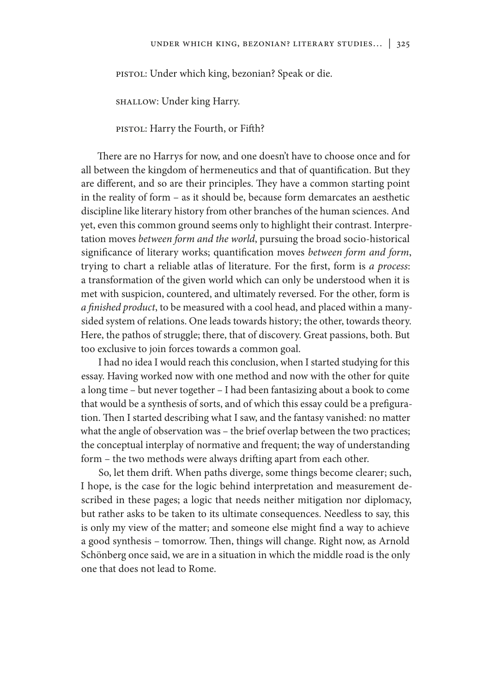PISTOL: Under which king, bezonian? Speak or die.

SHALLOW: Under king Harry.

PISTOL: Harry the Fourth, or Fifth?

There are no Harrys for now, and one doesn't have to choose once and for all between the kingdom of hermeneutics and that of quantification. But they are different, and so are their principles. They have a common starting point in the reality of form – as it should be, because form demarcates an aesthetic discipline like literary history from other branches of the human sciences. And yet, even this common ground seems only to highlight their contrast. Interpretation moves *between form and the world*, pursuing the broad socio-historical significance of literary works; quantification moves *between form and form*, trying to chart a reliable atlas of literature. For the first, form is *a process*: a transformation of the given world which can only be understood when it is met with suspicion, countered, and ultimately reversed. For the other, form is *a finished product*, to be measured with a cool head, and placed within a manysided system of relations. One leads towards history; the other, towards theory. Here, the pathos of struggle; there, that of discovery. Great passions, both. But too exclusive to join forces towards a common goal.

I had no idea I would reach this conclusion, when I started studying for this essay. Having worked now with one method and now with the other for quite a long time – but never together – I had been fantasizing about a book to come that would be a synthesis of sorts, and of which this essay could be a prefiguration. Then I started describing what I saw, and the fantasy vanished: no matter what the angle of observation was – the brief overlap between the two practices; the conceptual interplay of normative and frequent; the way of understanding form – the two methods were always drifting apart from each other.

So, let them drift. When paths diverge, some things become clearer; such, I hope, is the case for the logic behind interpretation and measurement described in these pages; a logic that needs neither mitigation nor diplomacy, but rather asks to be taken to its ultimate consequences. Needless to say, this is only my view of the matter; and someone else might find a way to achieve a good synthesis – tomorrow. Then, things will change. Right now, as Arnold Schönberg once said, we are in a situation in which the middle road is the only one that does not lead to Rome.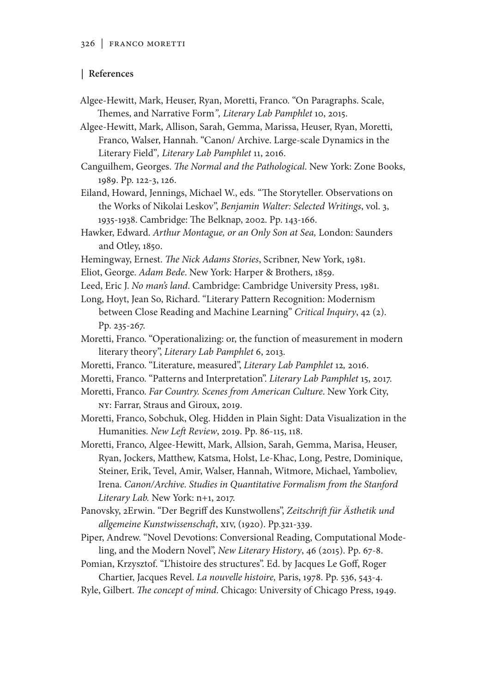## **| References**

Algee-Hewitt, Mark, Heuser, Ryan, Moretti, Franco. "On Paragraphs. Scale, Themes, and Narrative Form*", Literary Lab Pamphlet* 10, 2015.

Algee-Hewitt, Mark, Allison, Sarah, Gemma, Marissa, Heuser, Ryan, Moretti, Franco, Walser, Hannah. "Canon/ Archive. Large-scale Dynamics in the Literary Field"*, Literary Lab Pamphlet* 11, 2016.

Canguilhem, Georges. *The Normal and the Pathological*. New York: Zone Books, 1989. Pp. 122-3, 126.

Eiland, Howard, Jennings, Michael W., eds. "The Storyteller. Observations on the Works of Nikolai Leskov", *Benjamin Walter: Selected Writings*, vol. 3, 1935-1938. Cambridge: The Belknap, 2002. Pp. 143-166.

Hawker, Edward. *Arthur Montague, or an Only Son at Sea,* London: Saunders and Otley, 1850.

- Hemingway, Ernest. *The Nick Adams Stories*, Scribner, New York, 1981.
- Eliot, George. *Adam Bede*. New York: Harper & Brothers, 1859.

Leed, Eric J. *No man's land*. Cambridge: Cambridge University Press, 1981. Long, Hoyt, Jean So, Richard. "Literary Pattern Recognition: Modernism

between Close Reading and Machine Learning" *Critical Inquiry*, 42 (2). Pp. 235-267.

Moretti, Franco. "Operationalizing: or, the function of measurement in modern literary theory", *Literary Lab Pamphlet* 6, 2013.

- Moretti, Franco. "Literature, measured", *Literary Lab Pamphlet* 12*,* 2016.
- Moretti, Franco. "Patterns and Interpretation". *Literary Lab Pamphlet* 15, 2017.

Moretti, Franco. *Far Country. Scenes from American Culture*. New York City, NY: Farrar, Straus and Giroux, 2019.

Moretti, Franco, Sobchuk, Oleg. Hidden in Plain Sight: Data Visualization in the Humanities. *New Left Review*, 2019. Pp. 86-115, 118.

Moretti, Franco, Algee-Hewitt, Mark, Allsion, Sarah, Gemma, Marisa, Heuser, Ryan, Jockers, Matthew, Katsma, Holst, Le-Khac, Long, Pestre, Dominique, Steiner, Erik, Tevel, Amir, Walser, Hannah, Witmore, Michael, Yamboliev, Irena. *Canon/Archive. Studies in Quantitative Formalism from the Stanford Literary Lab.* New York: n+1, 2017.

Panovsky, 2Erwin. "Der Begriff des Kunstwollens", *Zeitschrift für Ästhetik und allgemeine Kunstwissenschaft*, XIV, (1920). Pp.321-339.

Piper, Andrew. "Novel Devotions: Conversional Reading, Computational Modeling, and the Modern Novel", *New Literary History*, 46 (2015). Pp. 67-8.

Pomian, Krzysztof. "L'histoire des structures". Ed. by Jacques Le Goff, Roger Chartier, Jacques Revel. *La nouvelle histoire,* Paris, 1978. Pp. 536, 543-4.

Ryle, Gilbert. *The concept of mind*. Chicago: University of Chicago Press, 1949.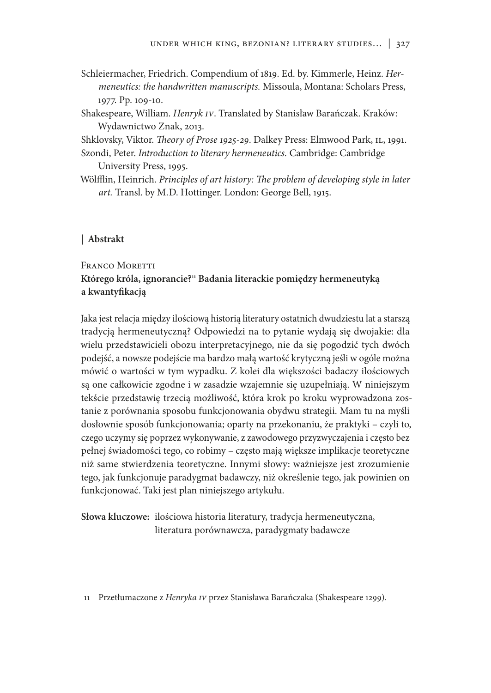- Schleiermacher, Friedrich. Compendium of 1819. Ed. by. Kimmerle, Heinz. *Hermeneutics: the handwritten manuscripts.* Missoula, Montana: Scholars Press, 1977. Pp. 109-10.
- Shakespeare, William. *Henryk IV*. Translated by Stanisław Barańczak. Kraków: Wydawnictwo Znak, 2013.

Shklovsky, Viktor. *Theory of Prose 1925-29*. Dalkey Press: Elmwood Park, IL, 1991.

Szondi, Peter. *Introduction to literary hermeneutics.* Cambridge: Cambridge University Press, 1995.

Wölfflin, Heinrich. *Principles of art history: The problem of developing style in later art.* Transl. by M.D. Hottinger. London: George Bell, 1915.

## **| Abstrakt**

# FRANCO MORETTI **Którego króla, ignorancie?11 Badania literackie pomiędzy hermeneutyką a kwantyfikacją**

Jaka jest relacja między ilościową historią literatury ostatnich dwudziestu lat a starszą tradycją hermeneutyczną? Odpowiedzi na to pytanie wydają się dwojakie: dla wielu przedstawicieli obozu interpretacyjnego, nie da się pogodzić tych dwóch podejść, a nowsze podejście ma bardzo małą wartość krytyczną jeśli w ogóle można mówić o wartości w tym wypadku. Z kolei dla większości badaczy ilościowych są one całkowicie zgodne i w zasadzie wzajemnie się uzupełniają. W niniejszym tekście przedstawię trzecią możliwość, która krok po kroku wyprowadzona zostanie z porównania sposobu funkcjonowania obydwu strategii. Mam tu na myśli dosłownie sposób funkcjonowania; oparty na przekonaniu, że praktyki – czyli to, czego uczymy się poprzez wykonywanie, z zawodowego przyzwyczajenia i często bez pełnej świadomości tego, co robimy – często mają większe implikacje teoretyczne niż same stwierdzenia teoretyczne. Innymi słowy: ważniejsze jest zrozumienie tego, jak funkcjonuje paradygmat badawczy, niż określenie tego, jak powinien on funkcjonować. Taki jest plan niniejszego artykułu.

**Słowa kluczowe:** ilościowa historia literatury, tradycja hermeneutyczna, literatura porównawcza, paradygmaty badawcze

11 Przetłumaczone z *Henryka IV* przez Stanisława Barańczaka (Shakespeare 1299).